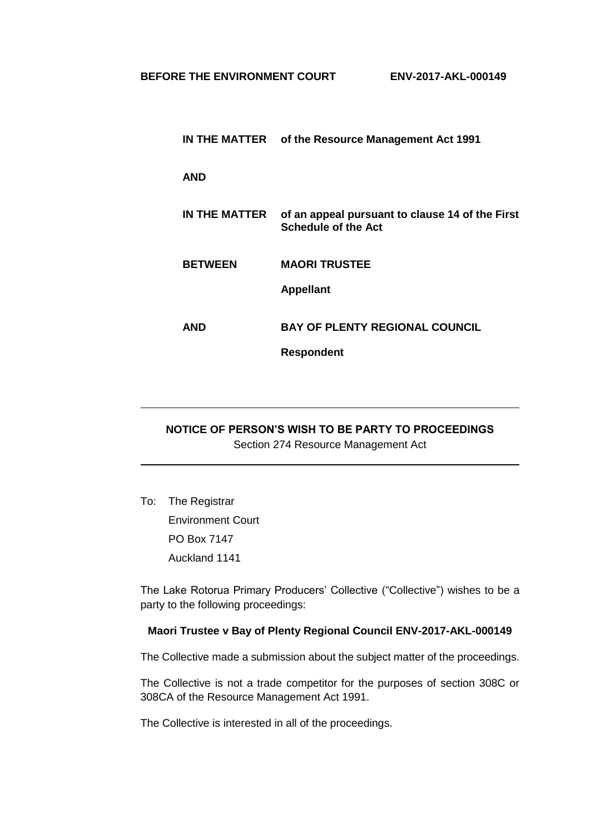|                | IN THE MATTER of the Resource Management Act 1991                             |
|----------------|-------------------------------------------------------------------------------|
| AND            |                                                                               |
| IN THE MATTER  | of an appeal pursuant to clause 14 of the First<br><b>Schedule of the Act</b> |
| <b>BETWEEN</b> | <b>MAORI TRUSTEE</b>                                                          |
|                | <b>Appellant</b>                                                              |
| AND            | <b>BAY OF PLENTY REGIONAL COUNCIL</b>                                         |
|                | <b>Respondent</b>                                                             |

## **NOTICE OF PERSON'S WISH TO BE PARTY TO PROCEEDINGS** Section 274 Resource Management Act

To: The Registrar Environment Court PO Box 7147 Auckland 1141

The Lake Rotorua Primary Producers' Collective ("Collective") wishes to be a party to the following proceedings:

## **Maori Trustee v Bay of Plenty Regional Council ENV-2017-AKL-000149**

The Collective made a submission about the subject matter of the proceedings.

The Collective is not a trade competitor for the purposes of section 308C or 308CA of the Resource Management Act 1991.

The Collective is interested in all of the proceedings.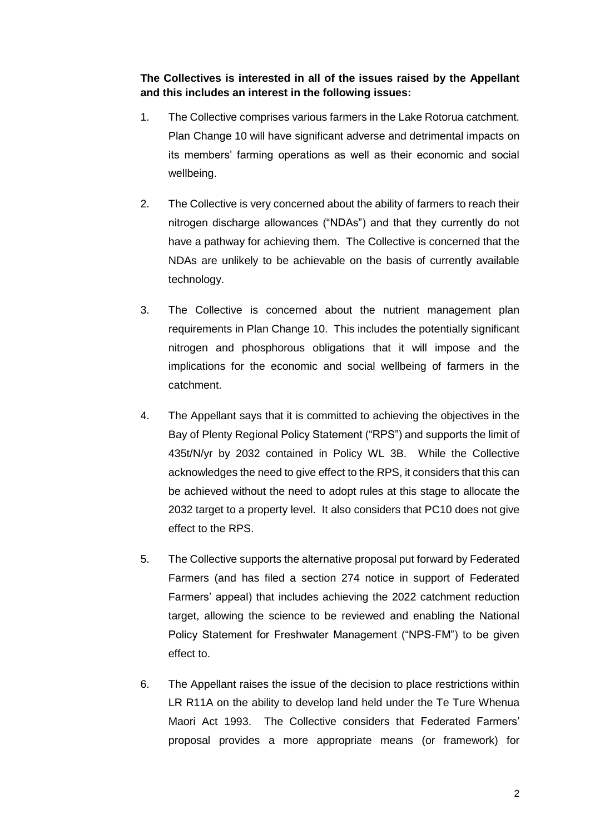**The Collectives is interested in all of the issues raised by the Appellant and this includes an interest in the following issues:**

- 1. The Collective comprises various farmers in the Lake Rotorua catchment. Plan Change 10 will have significant adverse and detrimental impacts on its members' farming operations as well as their economic and social wellbeing.
- 2. The Collective is very concerned about the ability of farmers to reach their nitrogen discharge allowances ("NDAs") and that they currently do not have a pathway for achieving them. The Collective is concerned that the NDAs are unlikely to be achievable on the basis of currently available technology.
- 3. The Collective is concerned about the nutrient management plan requirements in Plan Change 10. This includes the potentially significant nitrogen and phosphorous obligations that it will impose and the implications for the economic and social wellbeing of farmers in the catchment.
- 4. The Appellant says that it is committed to achieving the objectives in the Bay of Plenty Regional Policy Statement ("RPS") and supports the limit of 435t/N/yr by 2032 contained in Policy WL 3B. While the Collective acknowledges the need to give effect to the RPS, it considers that this can be achieved without the need to adopt rules at this stage to allocate the 2032 target to a property level. It also considers that PC10 does not give effect to the RPS.
- 5. The Collective supports the alternative proposal put forward by Federated Farmers (and has filed a section 274 notice in support of Federated Farmers' appeal) that includes achieving the 2022 catchment reduction target, allowing the science to be reviewed and enabling the National Policy Statement for Freshwater Management ("NPS-FM") to be given effect to.
- 6. The Appellant raises the issue of the decision to place restrictions within LR R11A on the ability to develop land held under the Te Ture Whenua Maori Act 1993. The Collective considers that Federated Farmers' proposal provides a more appropriate means (or framework) for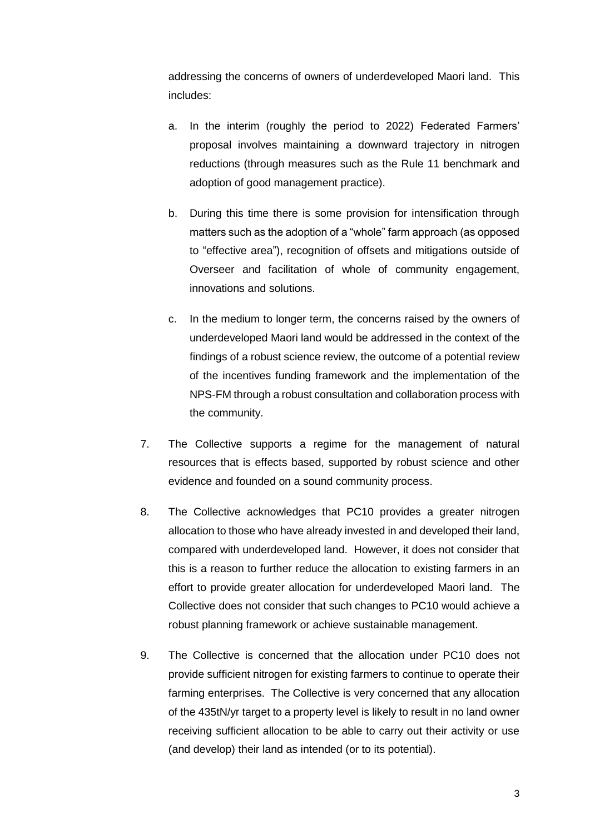addressing the concerns of owners of underdeveloped Maori land. This includes:

- a. In the interim (roughly the period to 2022) Federated Farmers' proposal involves maintaining a downward trajectory in nitrogen reductions (through measures such as the Rule 11 benchmark and adoption of good management practice).
- b. During this time there is some provision for intensification through matters such as the adoption of a "whole" farm approach (as opposed to "effective area"), recognition of offsets and mitigations outside of Overseer and facilitation of whole of community engagement, innovations and solutions.
- c. In the medium to longer term, the concerns raised by the owners of underdeveloped Maori land would be addressed in the context of the findings of a robust science review, the outcome of a potential review of the incentives funding framework and the implementation of the NPS-FM through a robust consultation and collaboration process with the community.
- 7. The Collective supports a regime for the management of natural resources that is effects based, supported by robust science and other evidence and founded on a sound community process.
- 8. The Collective acknowledges that PC10 provides a greater nitrogen allocation to those who have already invested in and developed their land, compared with underdeveloped land. However, it does not consider that this is a reason to further reduce the allocation to existing farmers in an effort to provide greater allocation for underdeveloped Maori land. The Collective does not consider that such changes to PC10 would achieve a robust planning framework or achieve sustainable management.
- 9. The Collective is concerned that the allocation under PC10 does not provide sufficient nitrogen for existing farmers to continue to operate their farming enterprises. The Collective is very concerned that any allocation of the 435tN/yr target to a property level is likely to result in no land owner receiving sufficient allocation to be able to carry out their activity or use (and develop) their land as intended (or to its potential).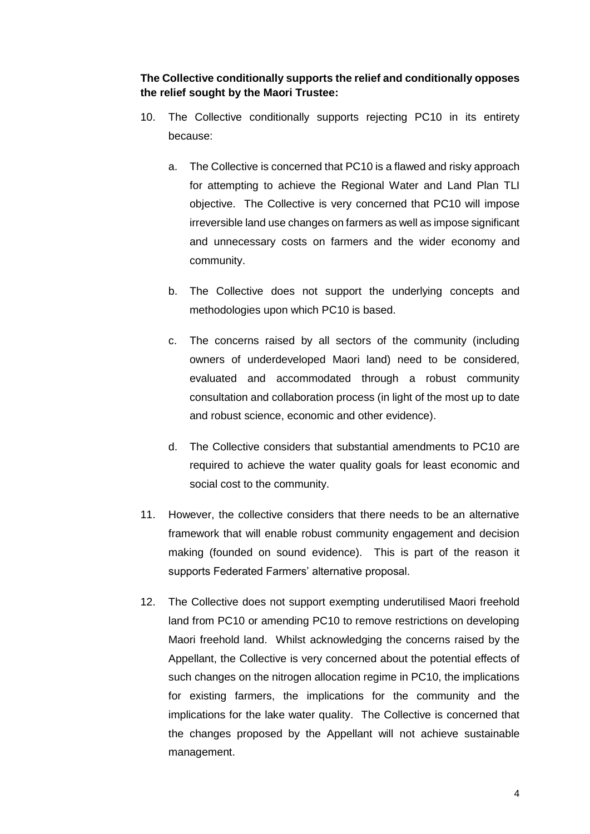**The Collective conditionally supports the relief and conditionally opposes the relief sought by the Maori Trustee:**

- 10. The Collective conditionally supports rejecting PC10 in its entirety because:
	- a. The Collective is concerned that PC10 is a flawed and risky approach for attempting to achieve the Regional Water and Land Plan TLI objective. The Collective is very concerned that PC10 will impose irreversible land use changes on farmers as well as impose significant and unnecessary costs on farmers and the wider economy and community.
	- b. The Collective does not support the underlying concepts and methodologies upon which PC10 is based.
	- c. The concerns raised by all sectors of the community (including owners of underdeveloped Maori land) need to be considered, evaluated and accommodated through a robust community consultation and collaboration process (in light of the most up to date and robust science, economic and other evidence).
	- d. The Collective considers that substantial amendments to PC10 are required to achieve the water quality goals for least economic and social cost to the community.
- 11. However, the collective considers that there needs to be an alternative framework that will enable robust community engagement and decision making (founded on sound evidence). This is part of the reason it supports Federated Farmers' alternative proposal.
- 12. The Collective does not support exempting underutilised Maori freehold land from PC10 or amending PC10 to remove restrictions on developing Maori freehold land. Whilst acknowledging the concerns raised by the Appellant, the Collective is very concerned about the potential effects of such changes on the nitrogen allocation regime in PC10, the implications for existing farmers, the implications for the community and the implications for the lake water quality. The Collective is concerned that the changes proposed by the Appellant will not achieve sustainable management.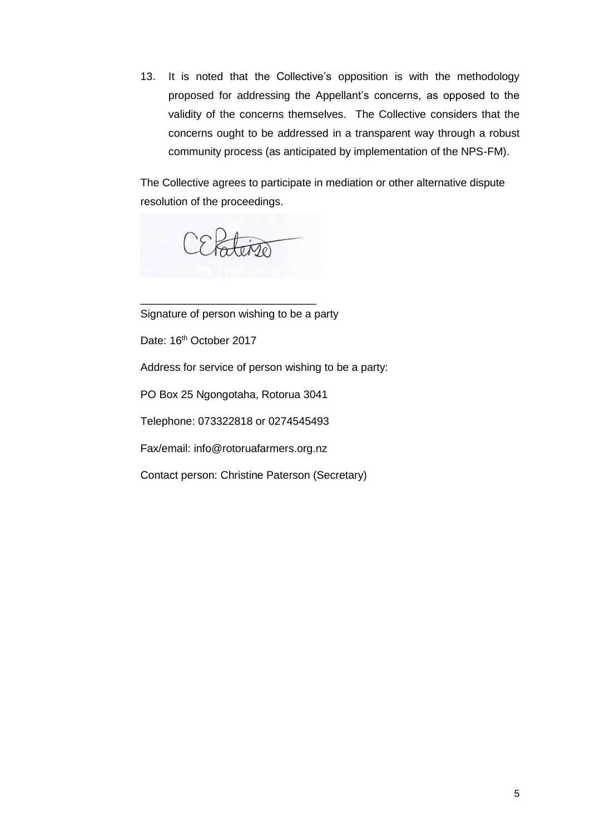13. It is noted that the Collective's opposition is with the methodology proposed for addressing the Appellant's concerns, as opposed to the validity of the concerns themselves. The Collective considers that the concerns ought to be addressed in a transparent way through a robust community process (as anticipated by implementation of the NPS-FM).

The Collective agrees to participate in mediation or other alternative dispute resolution of the proceedings.

CEPaten

Signature of person wishing to be a party

\_\_\_\_\_\_\_\_\_\_\_\_\_\_\_\_\_\_\_\_\_\_\_\_\_\_\_\_\_

Date: 16<sup>th</sup> October 2017

Address for service of person wishing to be a party:

PO Box 25 Ngongotaha, Rotorua 3041

Telephone: 073322818 or 0274545493

Fax/email: info@rotoruafarmers.org.nz

Contact person: Christine Paterson (Secretary)